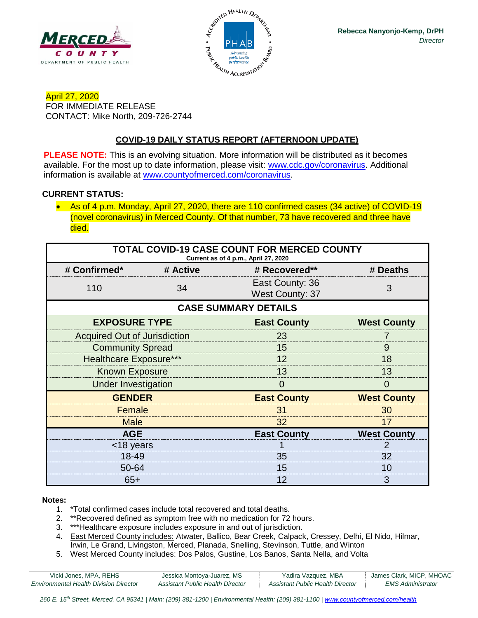



April 27, 2020 FOR IMMEDIATE RELEASE CONTACT: Mike North, 209-726-2744

## **COVID-19 DAILY STATUS REPORT (AFTERNOON UPDATE)**

**PLEASE NOTE:** This is an evolving situation. More information will be distributed as it becomes available. For the most up to date information, please visit: [www.cdc.gov/coronavirus.](http://www.cdc.gov/coronavirus) Additional information is available at [www.countyofmerced.com/coronavirus.](http://www.countyofmerced.com/coronavirus)

#### **CURRENT STATUS:**

• As of 4 p.m. Monday, April 27, 2020, there are 110 confirmed cases (34 active) of COVID-19 (novel coronavirus) in Merced County. Of that number, 73 have recovered and three have died.

| <b>TOTAL COVID-19 CASE COUNT FOR MERCED COUNTY</b><br>Current as of 4 p.m., April 27, 2020 |          |                                           |                    |  |  |
|--------------------------------------------------------------------------------------------|----------|-------------------------------------------|--------------------|--|--|
| # Confirmed*                                                                               | # Active | # Recovered**                             | # Deaths           |  |  |
| 110                                                                                        | 34       | East County: 36<br><b>West County: 37</b> | 3                  |  |  |
| <b>CASE SUMMARY DETAILS</b>                                                                |          |                                           |                    |  |  |
| <b>EXPOSURE TYPE</b>                                                                       |          | <b>East County</b>                        | <b>West County</b> |  |  |
| <b>Acquired Out of Jurisdiction</b>                                                        |          | 23                                        |                    |  |  |
| <b>Community Spread</b>                                                                    |          | 15                                        | 9                  |  |  |
| <b>Healthcare Exposure***</b>                                                              |          | 12                                        | 18                 |  |  |
| <b>Known Exposure</b>                                                                      |          | 13                                        | 13                 |  |  |
| <b>Under Investigation</b>                                                                 |          | O                                         | $\Omega$           |  |  |
| <b>GENDER</b>                                                                              |          | <b>East County</b>                        | <b>West County</b> |  |  |
| Female                                                                                     |          | 31                                        | 30                 |  |  |
| <b>Male</b>                                                                                |          | 32                                        | 17                 |  |  |
| <b>AGE</b>                                                                                 |          | <b>East County</b>                        | <b>West County</b> |  |  |
| <18 years                                                                                  |          |                                           |                    |  |  |
| 18-49                                                                                      |          | 35                                        | 32                 |  |  |
| 50-64                                                                                      |          | 15                                        | 10                 |  |  |
| $65+$                                                                                      |          | 12                                        | 3                  |  |  |

#### **Notes:**

- 1. \*Total confirmed cases include total recovered and total deaths.
- 2. \*\*Recovered defined as symptom free with no medication for 72 hours.
- 3. \*\*\*Healthcare exposure includes exposure in and out of jurisdiction.
- 4. East Merced County includes: Atwater, Ballico, Bear Creek, Calpack, Cressey, Delhi, El Nido, Hilmar, Irwin, Le Grand, Livingston, Merced, Planada, Snelling, Stevinson, Tuttle, and Winton
- 5. West Merced County includes: Dos Palos, Gustine, Los Banos, Santa Nella, and Volta

| Vicki Jones, MPA, REHS                        | Jessica Montoya-Juarez, MS       | Yadira Vazquez, MBA              | James Clark, MICP, MHOAC |
|-----------------------------------------------|----------------------------------|----------------------------------|--------------------------|
| <b>Environmental Health Division Director</b> | Assistant Public Health Director | Assistant Public Health Director | EMS Administrator        |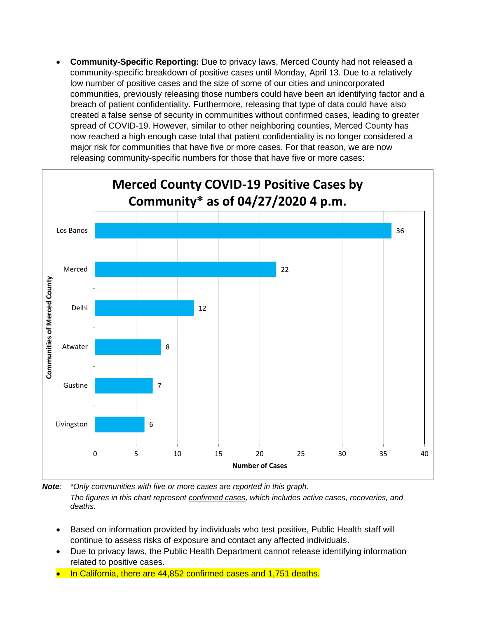• **Community-Specific Reporting:** Due to privacy laws, Merced County had not released a community-specific breakdown of positive cases until Monday, April 13. Due to a relatively low number of positive cases and the size of some of our cities and unincorporated communities, previously releasing those numbers could have been an identifying factor and a breach of patient confidentiality. Furthermore, releasing that type of data could have also created a false sense of security in communities without confirmed cases, leading to greater spread of COVID-19. However, similar to other neighboring counties, Merced County has now reached a high enough case total that patient confidentiality is no longer considered a major risk for communities that have five or more cases. For that reason, we are now releasing community-specific numbers for those that have five or more cases:



*Note: \*Only communities with five or more cases are reported in this graph. The figures in this chart represent confirmed cases, which includes active cases, recoveries, and deaths.*

- Based on information provided by individuals who test positive, Public Health staff will continue to assess risks of exposure and contact any affected individuals.
- Due to privacy laws, the Public Health Department cannot release identifying information related to positive cases.
- In California, there are 44,852 confirmed cases and 1,751 deaths.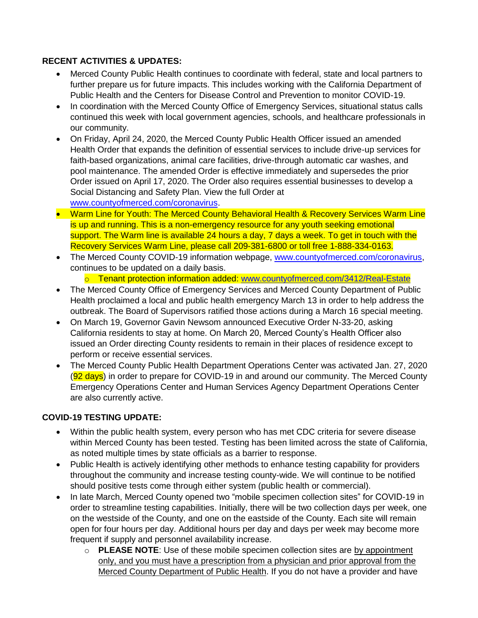## **RECENT ACTIVITIES & UPDATES:**

- Merced County Public Health continues to coordinate with federal, state and local partners to further prepare us for future impacts. This includes working with the California Department of Public Health and the Centers for Disease Control and Prevention to monitor COVID-19.
- In coordination with the Merced County Office of Emergency Services, situational status calls continued this week with local government agencies, schools, and healthcare professionals in our community.
- On Friday, April 24, 2020, the Merced County Public Health Officer issued an amended Health Order that expands the definition of essential services to include drive-up services for faith-based organizations, animal care facilities, drive-through automatic car washes, and pool maintenance. The amended Order is effective immediately and supersedes the prior Order issued on April 17, 2020. The Order also requires essential businesses to develop a Social Distancing and Safety Plan. View the full Order at

[www.countyofmerced.com/coronavirus.](http://www.countyofmerced.com/coronavirus)

- Warm Line for Youth: The Merced County Behavioral Health & Recovery Services Warm Line is up and running. This is a non-emergency resource for any youth seeking emotional support. The Warm line is available 24 hours a day, 7 days a week. To get in touch with the Recovery Services Warm Line, please call 209-381-6800 or toll free 1-888-334-0163.
- The Merced County COVID-19 information webpage, [www.countyofmerced.com/coronavirus,](http://www.countyofmerced.com/coronavirus) continues to be updated on a daily basis.
	- o Tenant protection information added: [www.countyofmerced.com/3412/Real-Estate](http://www.countyofmerced.com/3412/Real-Estate)
- The Merced County Office of Emergency Services and Merced County Department of Public Health proclaimed a local and public health emergency March 13 in order to help address the outbreak. The Board of Supervisors ratified those actions during a March 16 special meeting.
- On March 19, Governor Gavin Newsom announced Executive Order N-33-20, asking California residents to stay at home. On March 20, Merced County's Health Officer also issued an Order directing County residents to remain in their places of residence except to perform or receive essential services.
- The Merced County Public Health Department Operations Center was activated Jan. 27, 2020 (92 days) in order to prepare for COVID-19 in and around our community. The Merced County Emergency Operations Center and Human Services Agency Department Operations Center are also currently active.

## **COVID-19 TESTING UPDATE:**

- Within the public health system, every person who has met CDC criteria for severe disease within Merced County has been tested. Testing has been limited across the state of California, as noted multiple times by state officials as a barrier to response.
- Public Health is actively identifying other methods to enhance testing capability for providers throughout the community and increase testing county-wide. We will continue to be notified should positive tests come through either system (public health or commercial).
- In late March, Merced County opened two "mobile specimen collection sites" for COVID-19 in order to streamline testing capabilities. Initially, there will be two collection days per week, one on the westside of the County, and one on the eastside of the County. Each site will remain open for four hours per day. Additional hours per day and days per week may become more frequent if supply and personnel availability increase.
	- o **PLEASE NOTE**: Use of these mobile specimen collection sites are by appointment only, and you must have a prescription from a physician and prior approval from the Merced County Department of Public Health. If you do not have a provider and have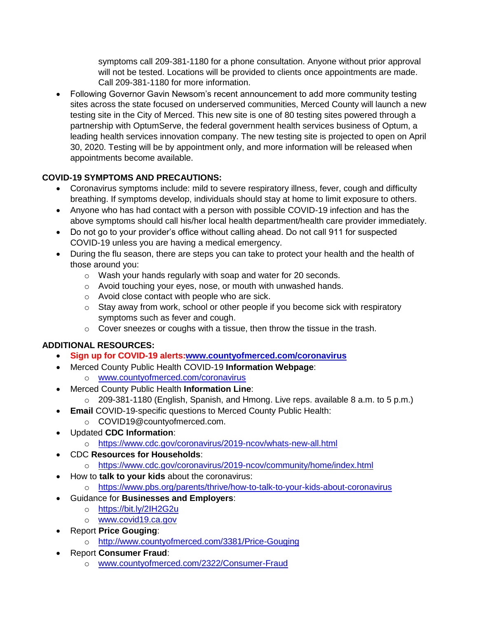symptoms call 209-381-1180 for a phone consultation. Anyone without prior approval will not be tested. Locations will be provided to clients once appointments are made. Call 209-381-1180 for more information.

• Following Governor Gavin Newsom's recent announcement to add more community testing sites across the state focused on underserved communities, Merced County will launch a new testing site in the City of Merced. This new site is one of 80 testing sites powered through a partnership with OptumServe, the federal government health services business of Optum, a leading health services innovation company. The new testing site is projected to open on April 30, 2020. Testing will be by appointment only, and more information will be released when appointments become available.

# **COVID-19 SYMPTOMS AND PRECAUTIONS:**

- Coronavirus symptoms include: mild to severe respiratory illness, fever, cough and difficulty breathing. If symptoms develop, individuals should stay at home to limit exposure to others.
- Anyone who has had contact with a person with possible COVID-19 infection and has the above symptoms should call his/her local health department/health care provider immediately.
- Do not go to your provider's office without calling ahead. Do not call 911 for suspected COVID-19 unless you are having a medical emergency.
- During the flu season, there are steps you can take to protect your health and the health of those around you:
	- o Wash your hands regularly with soap and water for 20 seconds.
	- o Avoid touching your eyes, nose, or mouth with unwashed hands.
	- o Avoid close contact with people who are sick.
	- $\circ$  Stay away from work, school or other people if you become sick with respiratory symptoms such as fever and cough.
	- o Cover sneezes or coughs with a tissue, then throw the tissue in the trash.

# **ADDITIONAL RESOURCES:**

- **Sign up for COVID-19 alerts[:www.countyofmerced.com/coronavirus](http://www.countyofmerced.com/coronavirus)**
- Merced County Public Health COVID-19 **Information Webpage**:
	- o [www.countyofmerced.com/coronavirus](http://www.countyofmerced.com/coronavirus)
- Merced County Public Health **Information Line**:
	- o 209-381-1180 (English, Spanish, and Hmong. Live reps. available 8 a.m. to 5 p.m.)
	- **Email** COVID-19-specific questions to Merced County Public Health:
		- o COVID19@countyofmerced.com.
- Updated **CDC Information**:
	- o <https://www.cdc.gov/coronavirus/2019-ncov/whats-new-all.html>
- CDC **Resources for Households**:
	- o <https://www.cdc.gov/coronavirus/2019-ncov/community/home/index.html>
- How to **talk to your kids** about the coronavirus:
- o <https://www.pbs.org/parents/thrive/how-to-talk-to-your-kids-about-coronavirus>
- Guidance for **Businesses and Employers**:
	- o <https://bit.ly/2IH2G2u>
	- o [www.covid19.ca.gov](http://www.covid19.ca.gov/)
- Report **Price Gouging**:
	- o <http://www.countyofmerced.com/3381/Price-Gouging>
- Report **Consumer Fraud**:
	- o [www.countyofmerced.com/2322/Consumer-Fraud](http://www.countyofmerced.com/2322/Consumer-Fraud)